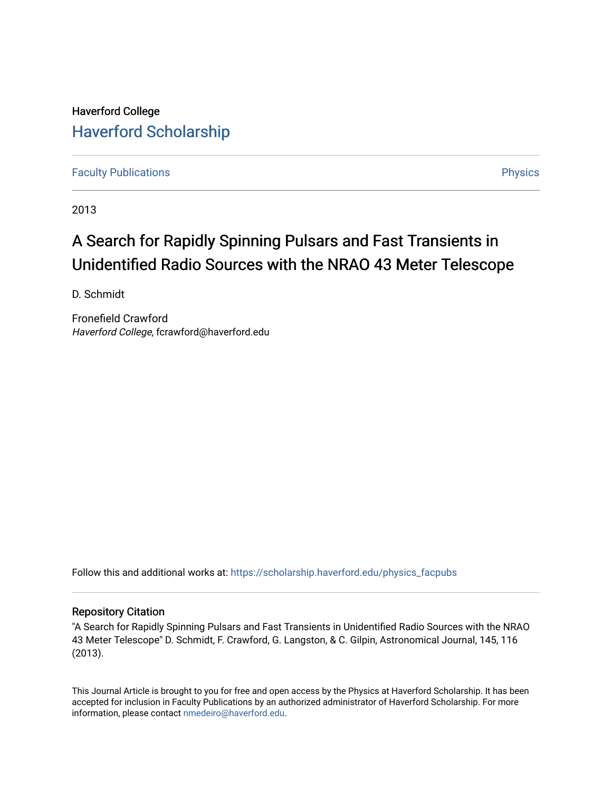Haverford College [Haverford Scholarship](https://scholarship.haverford.edu/)

[Faculty Publications](https://scholarship.haverford.edu/physics_facpubs) **Physics** 

2013

# A Search for Rapidly Spinning Pulsars and Fast Transients in Unidentified Radio Sources with the NRAO 43 Meter Telescope

D. Schmidt

Fronefield Crawford Haverford College, fcrawford@haverford.edu

Follow this and additional works at: [https://scholarship.haverford.edu/physics\\_facpubs](https://scholarship.haverford.edu/physics_facpubs?utm_source=scholarship.haverford.edu%2Fphysics_facpubs%2F378&utm_medium=PDF&utm_campaign=PDFCoverPages) 

## Repository Citation

"A Search for Rapidly Spinning Pulsars and Fast Transients in Unidentified Radio Sources with the NRAO 43 Meter Telescope" D. Schmidt, F. Crawford, G. Langston, & C. Gilpin, Astronomical Journal, 145, 116 (2013).

This Journal Article is brought to you for free and open access by the Physics at Haverford Scholarship. It has been accepted for inclusion in Faculty Publications by an authorized administrator of Haverford Scholarship. For more information, please contact [nmedeiro@haverford.edu.](mailto:nmedeiro@haverford.edu)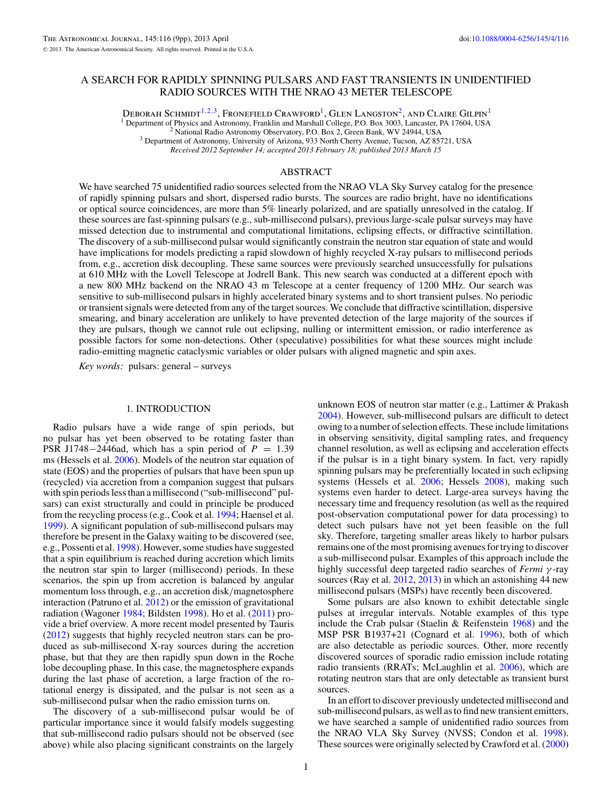## A SEARCH FOR RAPIDLY SPINNING PULSARS AND FAST TRANSIENTS IN UNIDENTIFIED RADIO SOURCES WITH THE NRAO 43 METER TELESCOPE

DEBORAH SCHMIDT<sup>1,2,3</sup>, FRONEFIELD CRAWFORD<sup>1</sup>, GLEN LANGSTON<sup>2</sup>, AND CLAIRE GILPIN<sup>1</sup> <sup>1</sup> Department of Physics and Astronomy, Franklin and Marshall College, P.O. Box 3003, Lancaster, PA 17604, USA<br><sup>2</sup> National Radio Astronomy Observatory, P.O. Box 2, Green Bank, WV 24944, USA<br><sup>3</sup> Department of Astronomy,

*Received 2012 September 14; accepted 2013 February 18; published 2013 March 15*

## ABSTRACT

We have searched 75 unidentified radio sources selected from the NRAO VLA Sky Survey catalog for the presence of rapidly spinning pulsars and short, dispersed radio bursts. The sources are radio bright, have no identifications or optical source coincidences, are more than 5% linearly polarized, and are spatially unresolved in the catalog. If these sources are fast-spinning pulsars (e.g., sub-millisecond pulsars), previous large-scale pulsar surveys may have missed detection due to instrumental and computational limitations, eclipsing effects, or diffractive scintillation. The discovery of a sub-millisecond pulsar would significantly constrain the neutron star equation of state and would have implications for models predicting a rapid slowdown of highly recycled X-ray pulsars to millisecond periods from, e.g., accretion disk decoupling. These same sources were previously searched unsuccessfully for pulsations at 610 MHz with the Lovell Telescope at Jodrell Bank. This new search was conducted at a different epoch with a new 800 MHz backend on the NRAO 43 m Telescope at a center frequency of 1200 MHz. Our search was sensitive to sub-millisecond pulsars in highly accelerated binary systems and to short transient pulses. No periodic or transient signals were detected from any of the target sources. We conclude that diffractive scintillation, dispersive smearing, and binary acceleration are unlikely to have prevented detection of the large majority of the sources if they are pulsars, though we cannot rule out eclipsing, nulling or intermittent emission, or radio interference as possible factors for some non-detections. Other (speculative) possibilities for what these sources might include radio-emitting magnetic cataclysmic variables or older pulsars with aligned magnetic and spin axes.

*Key words:* pulsars: general – surveys

## 1. INTRODUCTION

Radio pulsars have a wide range of spin periods, but no pulsar has yet been observed to be rotating faster than PSR J1748 $-2446$ ad, which has a spin period of  $P = 1.39$ ms (Hessels et al. [2006\)](#page-9-0). Models of the neutron star equation of state (EOS) and the properties of pulsars that have been spun up (recycled) via accretion from a companion suggest that pulsars with spin periods less than a millisecond ("sub-millisecond" pulsars) can exist structurally and could in principle be produced from the recycling process (e.g., Cook et al. [1994;](#page-8-0) Haensel et al. [1999\)](#page-9-0). A significant population of sub-millisecond pulsars may therefore be present in the Galaxy waiting to be discovered (see, e.g., Possenti et al. [1998\)](#page-9-0). However, some studies have suggested that a spin equilibrium is reached during accretion which limits the neutron star spin to larger (millisecond) periods. In these scenarios, the spin up from accretion is balanced by angular momentum loss through, e.g., an accretion disk*/*magnetosphere interaction (Patruno et al. [2012\)](#page-9-0) or the emission of gravitational radiation (Wagoner [1984;](#page-9-0) Bildsten [1998\)](#page-8-0). Ho et al. [\(2011\)](#page-9-0) provide a brief overview. A more recent model presented by Tauris [\(2012\)](#page-9-0) suggests that highly recycled neutron stars can be produced as sub-millisecond X-ray sources during the accretion phase, but that they are then rapidly spun down in the Roche lobe decoupling phase. In this case, the magnetosphere expands during the last phase of accretion, a large fraction of the rotational energy is dissipated, and the pulsar is not seen as a sub-millisecond pulsar when the radio emission turns on.

The discovery of a sub-millisecond pulsar would be of particular importance since it would falsify models suggesting that sub-millisecond radio pulsars should not be observed (see above) while also placing significant constraints on the largely

unknown EOS of neutron star matter (e.g., Lattimer & Prakash [2004\)](#page-9-0). However, sub-millisecond pulsars are difficult to detect owing to a number of selection effects. These include limitations in observing sensitivity, digital sampling rates, and frequency channel resolution, as well as eclipsing and acceleration effects if the pulsar is in a tight binary system. In fact, very rapidly spinning pulsars may be preferentially located in such eclipsing systems (Hessels et al. [2006;](#page-9-0) Hessels [2008\)](#page-9-0), making such systems even harder to detect. Large-area surveys having the necessary time and frequency resolution (as well as the required post-observation computational power for data processing) to detect such pulsars have not yet been feasible on the full sky. Therefore, targeting smaller areas likely to harbor pulsars remains one of the most promising avenues for trying to discover a sub-millisecond pulsar. Examples of this approach include the highly successful deep targeted radio searches of *Fermi γ* -ray sources (Ray et al. [2012,](#page-9-0) [2013\)](#page-9-0) in which an astonishing 44 new millisecond pulsars (MSPs) have recently been discovered.

Some pulsars are also known to exhibit detectable single pulses at irregular intervals. Notable examples of this type include the Crab pulsar (Staelin & Reifenstein [1968\)](#page-9-0) and the MSP PSR B1937+21 (Cognard et al. [1996\)](#page-8-0), both of which are also detectable as periodic sources. Other, more recently discovered sources of sporadic radio emission include rotating radio transients (RRATs; McLaughlin et al. [2006\)](#page-9-0), which are rotating neutron stars that are only detectable as transient burst sources.

In an effort to discover previously undetected millisecond and sub-millisecond pulsars, as well as to find new transient emitters, we have searched a sample of unidentified radio sources from the NRAO VLA Sky Survey (NVSS; Condon et al. [1998\)](#page-8-0). These sources were originally selected by Crawford et al. [\(2000\)](#page-9-0)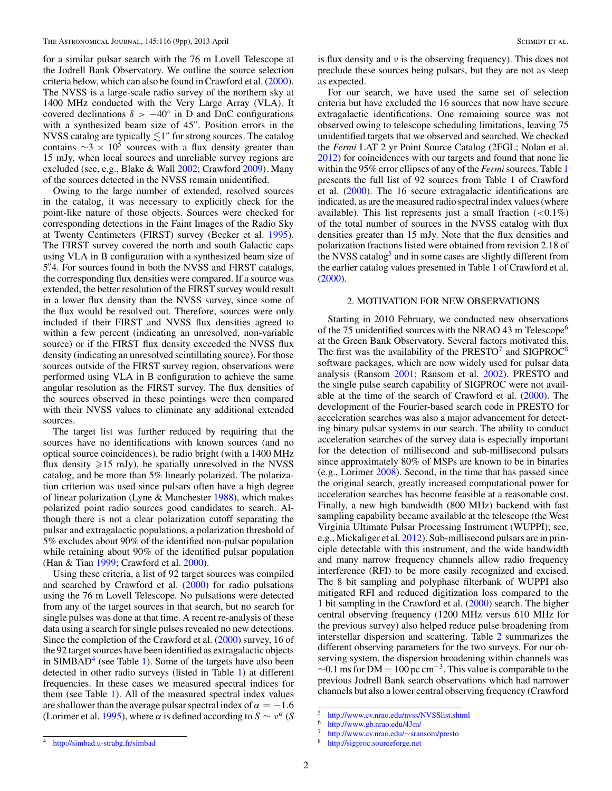for a similar pulsar search with the 76 m Lovell Telescope at the Jodrell Bank Observatory. We outline the source selection criteria below, which can also be found in Crawford et al. [\(2000\)](#page-9-0). The NVSS is a large-scale radio survey of the northern sky at 1400 MHz conducted with the Very Large Array (VLA). It covered declinations  $\delta$  > −40° in D and DnC configurations with a synthesized beam size of  $45$ . Position errors in the NVSS catalog are typically  $\lesssim$ 1″ for strong sources. The catalog contains  $\sim$ 3 × 10<sup>5</sup> sources with a flux density greater than 15 mJy, when local sources and unreliable survey regions are excluded (see, e.g., Blake & Wall [2002;](#page-8-0) Crawford [2009\)](#page-8-0). Many of the sources detected in the NVSS remain unidentified.

Owing to the large number of extended, resolved sources in the catalog, it was necessary to explicitly check for the point-like nature of those objects. Sources were checked for corresponding detections in the Faint Images of the Radio Sky at Twenty Centimeters (FIRST) survey (Becker et al. [1995\)](#page-8-0). The FIRST survey covered the north and south Galactic caps using VLA in B configuration with a synthesized beam size of 5*.* 4. For sources found in both the NVSS and FIRST catalogs, the corresponding flux densities were compared. If a source was extended, the better resolution of the FIRST survey would result in a lower flux density than the NVSS survey, since some of the flux would be resolved out. Therefore, sources were only included if their FIRST and NVSS flux densities agreed to within a few percent (indicating an unresolved, non-variable source) or if the FIRST flux density exceeded the NVSS flux density (indicating an unresolved scintillating source). For those sources outside of the FIRST survey region, observations were performed using VLA in B configuration to achieve the same angular resolution as the FIRST survey. The flux densities of the sources observed in these pointings were then compared with their NVSS values to eliminate any additional extended sources.

The target list was further reduced by requiring that the sources have no identifications with known sources (and no optical source coincidences), be radio bright (with a 1400 MHz flux density  $\geq 15$  mJy), be spatially unresolved in the NVSS catalog, and be more than 5% linearly polarized. The polarization criterion was used since pulsars often have a high degree of linear polarization (Lyne & Manchester [1988\)](#page-9-0), which makes polarized point radio sources good candidates to search. Although there is not a clear polarization cutoff separating the pulsar and extragalactic populations, a polarization threshold of 5% excludes about 90% of the identified non-pulsar population while retaining about 90% of the identified pulsar population (Han & Tian [1999;](#page-9-0) Crawford et al. [2000\)](#page-9-0).

Using these criteria, a list of 92 target sources was compiled and searched by Crawford et al. [\(2000\)](#page-9-0) for radio pulsations using the 76 m Lovell Telescope. No pulsations were detected from any of the target sources in that search, but no search for single pulses was done at that time. A recent re-analysis of these data using a search for single pulses revealed no new detections. Since the completion of the Crawford et al. [\(2000\)](#page-9-0) survey, 16 of the 92 target sources have been identified as extragalactic objects in  $SIMBAD<sup>4</sup>$  (see Table [1\)](#page-3-0). Some of the targets have also been detected in other radio surveys (listed in Table [1\)](#page-3-0) at different frequencies. In these cases we measured spectral indices for them (see Table [1\)](#page-3-0). All of the measured spectral index values are shallower than the average pulsar spectral index of  $\alpha = -1.6$ (Lorimer et al. [1995\)](#page-9-0), where  $\alpha$  is defined according to  $S \sim v^{\alpha}$  (*S*)

is flux density and *ν* is the observing frequency). This does not preclude these sources being pulsars, but they are not as steep as expected.

For our search, we have used the same set of selection criteria but have excluded the 16 sources that now have secure extragalactic identifications. One remaining source was not observed owing to telescope scheduling limitations, leaving 75 unidentified targets that we observed and searched. We checked the *Fermi* LAT 2 yr Point Source Catalog (2FGL; Nolan et al. [2012\)](#page-9-0) for coincidences with our targets and found that none lie within the 95% error ellipses of any of the *Fermi*sources. Table [1](#page-3-0) presents the full list of 92 sources from Table 1 of Crawford et al. [\(2000\)](#page-9-0). The 16 secure extragalactic identifications are indicated, as are the measured radio spectral index values (where available). This list represents just a small fraction (*<*0*.*1%) of the total number of sources in the NVSS catalog with flux densities greater than 15 mJy. Note that the flux densities and polarization fractions listed were obtained from revision 2.18 of the NVSS catalog<sup>5</sup> and in some cases are slightly different from the earlier catalog values presented in Table 1 of Crawford et al. [\(2000\)](#page-9-0).

## 2. MOTIVATION FOR NEW OBSERVATIONS

Starting in 2010 February, we conducted new observations of the 75 unidentified sources with the NRAO 43 m Telescope<sup>6</sup> at the Green Bank Observatory. Several factors motivated this. The first was the availability of the PRESTO<sup>7</sup> and SIGPROC<sup>8</sup> software packages, which are now widely used for pulsar data analysis (Ransom [2001;](#page-9-0) Ransom et al. [2002\)](#page-9-0). PRESTO and the single pulse search capability of SIGPROC were not available at the time of the search of Crawford et al. [\(2000\)](#page-9-0). The development of the Fourier-based search code in PRESTO for acceleration searches was also a major advancement for detecting binary pulsar systems in our search. The ability to conduct acceleration searches of the survey data is especially important for the detection of millisecond and sub-millisecond pulsars since approximately 80% of MSPs are known to be in binaries (e.g., Lorimer [2008\)](#page-9-0). Second, in the time that has passed since the original search, greatly increased computational power for acceleration searches has become feasible at a reasonable cost. Finally, a new high bandwidth (800 MHz) backend with fast sampling capability became available at the telescope (the West Virginia Ultimate Pulsar Processing Instrument (WUPPI); see, e.g., Mickaliger et al. [2012\)](#page-9-0). Sub-millisecond pulsars are in principle detectable with this instrument, and the wide bandwidth and many narrow frequency channels allow radio frequency interference (RFI) to be more easily recognized and excised. The 8 bit sampling and polyphase filterbank of WUPPI also mitigated RFI and reduced digitization loss compared to the 1 bit sampling in the Crawford et al. [\(2000\)](#page-9-0) search. The higher central observing frequency (1200 MHz versus 610 MHz for the previous survey) also helped reduce pulse broadening from interstellar dispersion and scattering. Table [2](#page-4-0) summarizes the different observing parameters for the two surveys. For our observing system, the dispersion broadening within channels was  $\sim$ 0.1 ms for DM = 100 pc cm<sup>-3</sup>. This value is comparable to the previous Jodrell Bank search observations which had narrower channels but also a lower central observing frequency (Crawford

<sup>5</sup> <http://www.cv.nrao.edu/nvss/NVSSlist.shtml>

<sup>6</sup> <http://www.gb.nrao.edu/43m/>

<sup>7</sup> [http://www.cv.nrao.edu/](http://www.cv.nrao.edu/~sransom/presto)∼sransom/presto <sup>8</sup> <http://sigproc.sourceforge.net>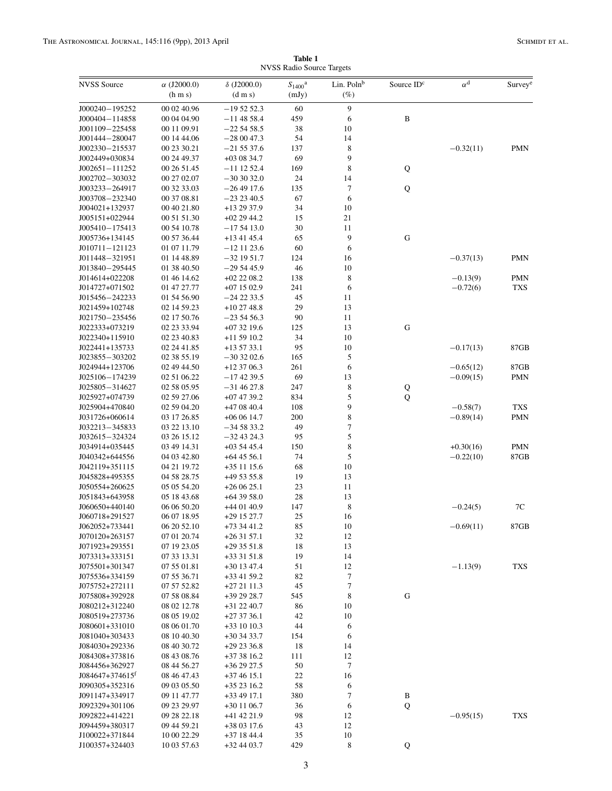**Table 1** NVSS Radio Source Targets

<span id="page-3-0"></span>

| <b>NVSS</b> Source               | $\alpha$ (J2000.0)         | $\delta$ (J2000.0)           | $S_{1400}$ <sup>a</sup> | Lin. Polnb  | Source ID <sup>c</sup> | $\alpha^{\text{d}}$ | Survey <sup>e</sup> |
|----------------------------------|----------------------------|------------------------------|-------------------------|-------------|------------------------|---------------------|---------------------|
|                                  | (h m s)                    | $(d \, m \, s)$              | (mJy)                   | $(\%)$      |                        |                     |                     |
| J000240-195252                   | 00 02 40.96                | $-195252.3$                  | 60                      | 9           |                        |                     |                     |
| J000404-114858                   | 00 04 04.90                | $-11$ 48 58.4                | 459                     | 6           | $\, {\bf B}$           |                     |                     |
| J001109-225458                   | 00 11 09.91                | $-22\,54\,58.5$              | 38                      | 10          |                        |                     |                     |
| J001444-280047                   | 00 14 44.06                | $-280047.3$                  | 54                      | 14          |                        |                     |                     |
| J002330-215537                   | 00 23 30.21                | $-215537.6$                  | 137                     | 8           |                        | $-0.32(11)$         | <b>PMN</b>          |
| J002449+030834                   | 00 24 49.37                | $+030834.7$                  | 69                      | 9           |                        |                     |                     |
| J002651-111252                   | 00 26 51.45                | $-11$ 12 52.4                | 169                     | $\,$ 8 $\,$ | Q                      |                     |                     |
| J002702-303032<br>J003233-264917 | 00 27 02.07<br>00 32 33.03 | $-303032.0$<br>$-264917.6$   | 24<br>135               | 14<br>7     |                        |                     |                     |
| J003708-232340                   | 00 37 08.81                | $-232340.5$                  | 67                      | 6           | Q                      |                     |                     |
| J004021+132937                   | 00 40 21.80                | +13 29 37.9                  | 34                      | 10          |                        |                     |                     |
| J005151+022944                   | 00 51 51.30                | $+022944.2$                  | 15                      | $21\,$      |                        |                     |                     |
| J005410-175413                   | 00 54 10.78                | $-175413.0$                  | 30                      | 11          |                        |                     |                     |
| J005736+134145                   | 00 57 36.44                | $+134145.4$                  | 65                      | 9           | ${\bf G}$              |                     |                     |
| J010711-121123                   | 01 07 11.79                | $-12$ 11 23.6                | 60                      | 6           |                        |                     |                     |
| J011448-321951                   | 01 14 48.89                | $-32$ 19 51.7                | 124                     | 16          |                        | $-0.37(13)$         | <b>PMN</b>          |
| J013840-295445                   | 01 38 40.50                | $-295445.9$                  | 46                      | 10          |                        |                     |                     |
| J014614+022208                   | 01 46 14.62                | $+022208.2$                  | 138                     | $\,$ 8 $\,$ |                        | $-0.13(9)$          | PMN                 |
| J014727+071502                   | 01 47 27.77                | $+071502.9$                  | 241                     | 6           |                        | $-0.72(6)$          | TXS                 |
| J015456-242233                   | 01 54 56.90                | $-242233.5$                  | 45                      | 11          |                        |                     |                     |
| J021459+102748                   | 02 14 59.23                | $+102748.8$                  | 29                      | 13          |                        |                     |                     |
| J021750-235456                   | 02 17 50.76                | $-235456.3$                  | 90                      | 11          |                        |                     |                     |
| J022333+073219<br>J022340+115910 | 02 23 33.94                | $+073219.6$<br>$+115910.2$   | 125<br>34               | 13<br>10    | G                      |                     |                     |
| J022441+135733                   | 02 23 40.83<br>02 24 41.85 | $+135733.1$                  | 95                      | 10          |                        | $-0.17(13)$         | 87GB                |
| J023855-303202                   | 02 38 55.19                | $-303202.6$                  | 165                     | 5           |                        |                     |                     |
| J024944+123706                   | 02 49 44.50                | $+123706.3$                  | 261                     | 6           |                        | $-0.65(12)$         | 87GB                |
| J025106-174239                   | 02 51 06.22                | $-174239.5$                  | 69                      | 13          |                        | $-0.09(15)$         | PMN                 |
| J025805-314627                   | 02 58 05.95                | $-314627.8$                  | 247                     | 8           | Q                      |                     |                     |
| J025927+074739                   | 02 59 27.06                | $+074739.2$                  | 834                     | 5           | $\bf Q$                |                     |                     |
| J025904+470840                   | 02 59 04.20                | +47 08 40.4                  | 108                     | 9           |                        | $-0.58(7)$          | <b>TXS</b>          |
| J031726+060614                   | 03 17 26.85                | $+060614.7$                  | 200                     | $\,$ 8 $\,$ |                        | $-0.89(14)$         | PMN                 |
| J032213-345833                   | 03 22 13.10                | $-345833.2$                  | 49                      | $\tau$      |                        |                     |                     |
| J032615-324324                   | 03 26 15.12                | $-32$ 43 24.3                | 95                      | 5           |                        |                     |                     |
| J034914+035445                   | 03 49 14.31                | $+035445.4$                  | 150                     | $\,$ 8 $\,$ |                        | $+0.30(16)$         | PMN                 |
| J040342+644556                   | 04 03 42.80                | $+64$ 45 56.1                | 74                      | 5           |                        | $-0.22(10)$         | 87GB                |
| J042119+351115<br>J045828+495355 | 04 21 19.72<br>04 58 28.75 | $+35$ 11 15.6<br>+49 53 55.8 | 68<br>19                | 10<br>13    |                        |                     |                     |
| J050554+260625                   | 05 05 54.20                | $+260625.1$                  | 23                      | 11          |                        |                     |                     |
| J051843+643958                   | 05 18 43.68                | $+64$ 39 58.0                | 28                      | 13          |                        |                     |                     |
| J060650+440140                   | 06 06 50.20                | +44 01 40.9                  | 147                     | 8           |                        | $-0.24(5)$          | 7C                  |
| J060718+291527                   | 06 07 18.95                | +29 15 27.7                  | 25                      | 16          |                        |                     |                     |
| J062052+733441                   | 06 20 52.10                | $+733441.2$                  | 85                      | 10          |                        | $-0.69(11)$         | $87{\rm GB}$        |
| J070120+263157                   | 07 01 20.74                | $+263157.1$                  | 32                      | 12          |                        |                     |                     |
| J071923+293551                   | 07 19 23.05                | $+293551.8$                  | 18                      | 13          |                        |                     |                     |
| J073313+333151                   | 07 33 13.31                | $+333151.8$                  | 19                      | 14          |                        |                     |                     |
| J075501+301347                   | 07 55 01.81                | $+30$ 13 47.4                | 51                      | 12          |                        | $-1.13(9)$          | <b>TXS</b>          |
| J075536+334159                   | 07 55 36.71                | +33 41 59.2                  | 82                      | 7           |                        |                     |                     |
| J075752+272111                   | 07 57 52.82                | $+272111.3$                  | 45                      | $\tau$      |                        |                     |                     |
| J075808+392928                   | 07 58 08.84                | +39 29 28.7                  | 545                     | 8           | G                      |                     |                     |
| J080212+312240<br>J080519+273736 | 08 02 12.78<br>08 05 19.02 | $+31$ 22 40.7<br>$+273736.1$ | 86<br>42                | 10<br>10    |                        |                     |                     |
| J080601+331010                   | 08 06 01.70                | $+33$ 10 10.3                | 44                      | 6           |                        |                     |                     |
| J081040+303433                   | 08 10 40.30                | $+303433.7$                  | 154                     | 6           |                        |                     |                     |
| J084030+292336                   | 08 40 30.72                | $+292336.8$                  | 18                      | 14          |                        |                     |                     |
| J084308+373816                   | 08 43 08.76                | $+373816.2$                  | 111                     | 12          |                        |                     |                     |
| J084456+362927                   | 08 44 56.27                | $+362927.5$                  | 50                      | 7           |                        |                     |                     |
| $J084647+374615$ <sup>t</sup>    | 08 46 47.43                | $+374615.1$                  | 22                      | 16          |                        |                     |                     |
| J090305+352316                   | 09 03 05.50                | $+352316.2$                  | 58                      | 6           |                        |                     |                     |
| J091147+334917                   | 09 11 47.77                | $+334917.1$                  | 380                     | $\tau$      | B                      |                     |                     |
| J092329+301106                   | 09 23 29.97                | $+301106.7$                  | 36                      | 6           | Q                      |                     |                     |
| J092822+414221                   | 09 28 22.18                | +41 42 21.9                  | 98                      | 12          |                        | $-0.95(15)$         | <b>TXS</b>          |
| J094459+380317                   | 09 44 59.21                | $+380317.6$                  | 43                      | 12          |                        |                     |                     |
| J100022+371844                   | 10 00 22.29                | +37 18 44.4                  | 35                      | 10          |                        |                     |                     |
| J100357+324403                   | 10 03 57.63                | +32 44 03.7                  | 429                     | $\,$ 8 $\,$ | Q                      |                     |                     |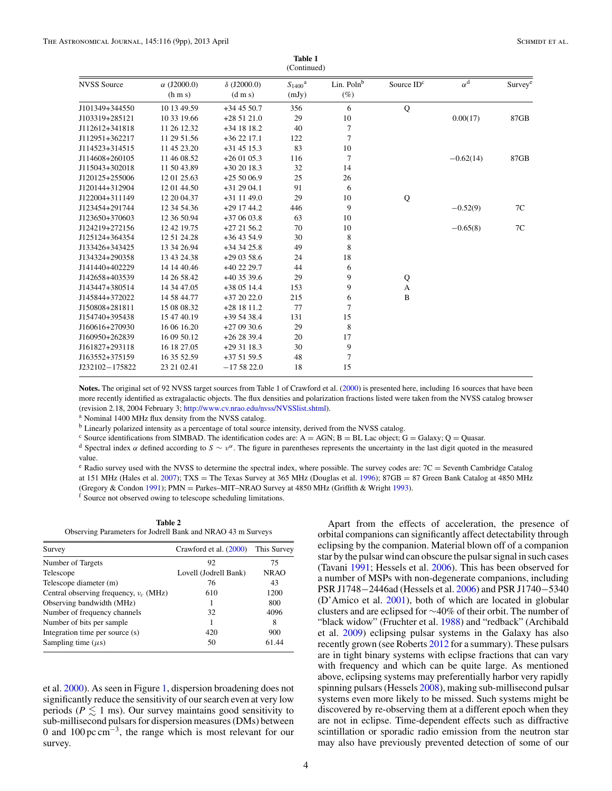<span id="page-4-0"></span>

| (Continued)        |                               |                                       |                                  |                                  |                        |                  |                     |
|--------------------|-------------------------------|---------------------------------------|----------------------------------|----------------------------------|------------------------|------------------|---------------------|
| <b>NVSS</b> Source | $\alpha$ (J2000.0)<br>(h m s) | $\delta$ (J2000.0)<br>$(d \, m \, s)$ | $S_{1400}$ <sup>a</sup><br>(mJy) | Lin. Poln <sup>b</sup><br>$(\%)$ | Source ID <sup>c</sup> | $\alpha^{\rm d}$ | Survey <sup>e</sup> |
| J101349+344550     | 10 13 49.59                   | $+344550.7$                           | 356                              | 6                                | Q                      |                  |                     |
| J103319+285121     | 10 33 19.66                   | $+285121.0$                           | 29                               | 10                               |                        | 0.00(17)         | 87GB                |
| J112612+341818     | 11 26 12.32                   | $+34$ 18 18.2                         | 40                               | 7                                |                        |                  |                     |
| J112951+362217     | 11 29 51.56                   | $+362217.1$                           | 122                              | $\overline{7}$                   |                        |                  |                     |
| J114523+314515     | 11 45 23.20                   | $+31$ 45 15.3                         | 83                               | 10                               |                        |                  |                     |
| J114608+260105     | 11 46 08.52                   | $+260105.3$                           | 116                              | 7                                |                        | $-0.62(14)$      | 87GB                |
| J115043+302018     | 11 50 43.89                   | $+302018.3$                           | 32                               | 14                               |                        |                  |                     |
| J120125+255006     | 12 01 25.63                   | $+255006.9$                           | 25                               | 26                               |                        |                  |                     |
| J120144+312904     | 12 01 44.50                   | $+312904.1$                           | 91                               | 6                                |                        |                  |                     |
| J122004+311149     | 12 20 04.37                   | +31 11 49.0                           | 29                               | 10                               | Q                      |                  |                     |
| J123454+291744     | 12 34 54.36                   | $+291744.2$                           | 446                              | 9                                |                        | $-0.52(9)$       | 7C                  |
| J123650+370603     | 12 36 50.94                   | $+370603.8$                           | 63                               | 10                               |                        |                  |                     |
| J124219+272156     | 12 42 19.75                   | $+272156.2$                           | 70                               | 10                               |                        | $-0.65(8)$       | 7C                  |
| J125124+364354     | 12 51 24.28                   | $+364354.9$                           | 30                               | 8                                |                        |                  |                     |
| J133426+343425     | 13 34 26.94                   | $+343425.8$                           | 49                               | 8                                |                        |                  |                     |
| J134324+290358     | 13 43 24.38                   | $+290358.6$                           | 24                               | 18                               |                        |                  |                     |
| J141440+402229     | 14 14 40.46                   | +40 22 29.7                           | 44                               | 6                                |                        |                  |                     |
| J142658+403539     | 14 26 58.42                   | $+403539.6$                           | 29                               | 9                                | Q                      |                  |                     |
| J143447+380514     | 14 34 47.05                   | $+380514.4$                           | 153                              | 9                                | A                      |                  |                     |
| J145844+372022     | 14 58 44.77                   | $+372022.0$                           | 215                              | 6                                | $\bf{B}$               |                  |                     |
| J150808+281811     | 15 08 08 32                   | $+281811.2$                           | 77                               | 7                                |                        |                  |                     |
| J154740+395438     | 15 47 40.19                   | $+395438.4$                           | 131                              | 15                               |                        |                  |                     |
| J160616+270930     | 16 06 16.20                   | $+270930.6$                           | 29                               | 8                                |                        |                  |                     |
| J160950+262839     | 16 09 50.12                   | $+262839.4$                           | 20                               | 17                               |                        |                  |                     |
| J161827+293118     | 16 18 27.05                   | $+293118.3$                           | 30                               | 9                                |                        |                  |                     |
| J163552+375159     | 16 35 52.59                   | $+375159.5$                           | 48                               | 7                                |                        |                  |                     |
| J232102-175822     | 23 21 02.41                   | $-175822.0$                           | 18                               | 15                               |                        |                  |                     |

**Table 1**

Notes. The original set of 92 NVSS target sources from Table 1 of Crawford et al. [\(2000\)](#page-9-0) is presented here, including 16 sources that have been more recently identified as extragalactic objects. The flux densities and polarization fractions listed were taken from the NVSS catalog browser (revision 2.18, 2004 February 3; [http://www.cv.nrao.edu/nvss/NVSSlist.shtml\)](http://www.cv.nrao.edu/nvss/NVSSlist.shtml).

<sup>a</sup> Nominal 1400 MHz flux density from the NVSS catalog.

<sup>b</sup> Linearly polarized intensity as a percentage of total source intensity, derived from the NVSS catalog.

<sup>c</sup> Source identifications from SIMBAD. The identification codes are: A = AGN; B = BL Lac object; G = Galaxy; Q = Quasar.<br><sup>d</sup> Spectral index  $\alpha$  defined according to  $S \sim \nu^{\alpha}$ . The figure in parentheses represents the value.

 $e$  Radio survey used with the NVSS to determine the spectral index, where possible. The survey codes are:  $7C =$  Seventh Cambridge Catalog at 151 MHz (Hales et al. [2007\)](#page-9-0); TXS = The Texas Survey at 365 MHz (Douglas et al. [1996\)](#page-9-0); 87GB = 87 Green Bank Catalog at 4850 MHz (Gregory & Condon [1991\)](#page-9-0); PMN = Parkes–MIT–NRAO Survey at 4850 MHz (Griffith & Wright [1993\)](#page-9-0). f Source not observed owing to telescope scheduling limitations.

**Table 2** Observing Parameters for Jodrell Bank and NRAO 43 m Surveys

| Survey                                   | Crawford et al. (2000) | This Survey |
|------------------------------------------|------------------------|-------------|
| Number of Targets                        | 92                     | 75          |
| Telescope                                | Lovell (Jodrell Bank)  | <b>NRAO</b> |
| Telescope diameter (m)                   | 76                     | 43          |
| Central observing frequency, $v_c$ (MHz) | 610                    | 1200        |
| Observing bandwidth (MHz)                |                        | 800         |
| Number of frequency channels             | 32                     | 4096        |
| Number of bits per sample                | 1                      | 8           |
| Integration time per source (s)          | 420                    | 900         |
| Sampling time $(\mu s)$                  | 50                     | 61.44       |
|                                          |                        |             |

et al. [2000\)](#page-9-0). As seen in Figure [1,](#page-5-0) dispersion broadening does not significantly reduce the sensitivity of our search even at very low periods ( $P \lesssim 1$  ms). Our survey maintains good sensitivity to sub-millisecond pulsars for dispersion measures (DMs) between 0 and 100 pc cm−3, the range which is most relevant for our survey.

Apart from the effects of acceleration, the presence of orbital companions can significantly affect detectability through eclipsing by the companion. Material blown off of a companion star by the pulsar wind can obscure the pulsar signal in such cases (Tavani [1991;](#page-9-0) Hessels et al. [2006\)](#page-9-0). This has been observed for a number of MSPs with non-degenerate companions, including PSR J1748−2446ad (Hessels et al. [2006\)](#page-9-0) and PSR J1740−5340 (D'Amico et al. [2001\)](#page-9-0), both of which are located in globular clusters and are eclipsed for ∼40% of their orbit. The number of "black widow" (Fruchter et al. [1988\)](#page-9-0) and "redback" (Archibald et al. [2009\)](#page-8-0) eclipsing pulsar systems in the Galaxy has also recently grown (see Roberts [2012](#page-9-0) for a summary). These pulsars are in tight binary systems with eclipse fractions that can vary with frequency and which can be quite large. As mentioned above, eclipsing systems may preferentially harbor very rapidly spinning pulsars (Hessels [2008\)](#page-9-0), making sub-millisecond pulsar systems even more likely to be missed. Such systems might be discovered by re-observing them at a different epoch when they are not in eclipse. Time-dependent effects such as diffractive scintillation or sporadic radio emission from the neutron star may also have previously prevented detection of some of our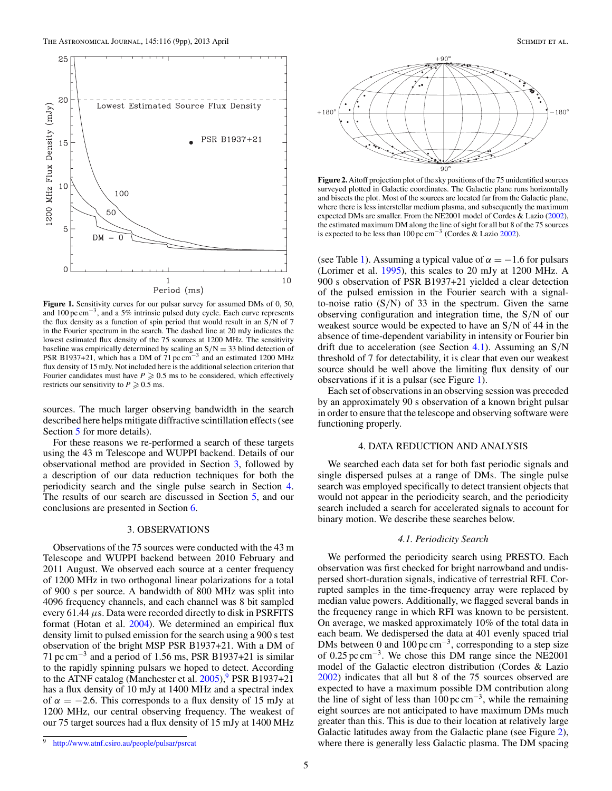<span id="page-5-0"></span>

**Figure 1.** Sensitivity curves for our pulsar survey for assumed DMs of 0, 50, and 100 pc cm−3, and a 5% intrinsic pulsed duty cycle. Each curve represents the flux density as a function of spin period that would result in an S*/*N of 7 in the Fourier spectrum in the search. The dashed line at 20 mJy indicates the lowest estimated flux density of the 75 sources at 1200 MHz. The sensitivity baseline was empirically determined by scaling an S*/*N = 33 blind detection of PSR B1937+21, which has a DM of 71 pc cm<sup>-3</sup> and an estimated 1200 MHz flux density of 15 mJy. Not included here is the additional selection criterion that Fourier candidates must have  $P \geqslant 0.5$  ms to be considered, which effectively restricts our sensitivity to  $P \ge 0.5$  ms.

sources. The much larger observing bandwidth in the search described here helps mitigate diffractive scintillation effects (see Section [5](#page-7-0) for more details).

For these reasons we re-performed a search of these targets using the 43 m Telescope and WUPPI backend. Details of our observational method are provided in Section 3, followed by a description of our data reduction techniques for both the periodicity search and the single pulse search in Section 4. The results of our search are discussed in Section [5,](#page-7-0) and our conclusions are presented in Section [6.](#page-8-0)

## 3. OBSERVATIONS

Observations of the 75 sources were conducted with the 43 m Telescope and WUPPI backend between 2010 February and 2011 August. We observed each source at a center frequency of 1200 MHz in two orthogonal linear polarizations for a total of 900 s per source. A bandwidth of 800 MHz was split into 4096 frequency channels, and each channel was 8 bit sampled every 61.44 *μ*s. Data were recorded directly to disk in PSRFITS format (Hotan et al. [2004\)](#page-9-0). We determined an empirical flux density limit to pulsed emission for the search using a 900 s test observation of the bright MSP PSR B1937+21. With a DM of 71 pc cm<sup>-3</sup> and a period of 1.56 ms, PSR B1937+21 is similar to the rapidly spinning pulsars we hoped to detect. According to the ATNF catalog (Manchester et al.  $2005$ ), PSR B1937+21 has a flux density of 10 mJy at 1400 MHz and a spectral index of  $\alpha = -2.6$ . This corresponds to a flux density of 15 mJy at 1200 MHz, our central observing frequency. The weakest of our 75 target sources had a flux density of 15 mJy at 1400 MHz



**Figure 2.** Aitoff projection plot of the sky positions of the 75 unidentified sources surveyed plotted in Galactic coordinates. The Galactic plane runs horizontally and bisects the plot. Most of the sources are located far from the Galactic plane, where there is less interstellar medium plasma, and subsequently the maximum expected DMs are smaller. From the NE2001 model of Cordes & Lazio [\(2002\)](#page-8-0), the estimated maximum DM along the line of sight for all but 8 of the 75 sources is expected to be less than 100 pc cm<sup>-3</sup> (Cordes & Lazio [2002\)](#page-8-0).

(see Table [1\)](#page-3-0). Assuming a typical value of  $\alpha = -1.6$  for pulsars (Lorimer et al. [1995\)](#page-9-0), this scales to 20 mJy at 1200 MHz. A 900 s observation of PSR B1937+21 yielded a clear detection of the pulsed emission in the Fourier search with a signalto-noise ratio (S*/*N) of 33 in the spectrum. Given the same observing configuration and integration time, the S*/*N of our weakest source would be expected to have an S*/*N of 44 in the absence of time-dependent variability in intensity or Fourier bin drift due to acceleration (see Section 4.1). Assuming an S*/*N threshold of 7 for detectability, it is clear that even our weakest source should be well above the limiting flux density of our observations if it is a pulsar (see Figure 1).

Each set of observations in an observing session was preceded by an approximately 90 s observation of a known bright pulsar in order to ensure that the telescope and observing software were functioning properly.

## 4. DATA REDUCTION AND ANALYSIS

We searched each data set for both fast periodic signals and single dispersed pulses at a range of DMs. The single pulse search was employed specifically to detect transient objects that would not appear in the periodicity search, and the periodicity search included a search for accelerated signals to account for binary motion. We describe these searches below.

#### *4.1. Periodicity Search*

We performed the periodicity search using PRESTO. Each observation was first checked for bright narrowband and undispersed short-duration signals, indicative of terrestrial RFI. Corrupted samples in the time-frequency array were replaced by median value powers. Additionally, we flagged several bands in the frequency range in which RFI was known to be persistent. On average, we masked approximately 10% of the total data in each beam. We dedispersed the data at 401 evenly spaced trial DMs between 0 and  $100 \,\text{pc cm}^{-3}$ , corresponding to a step size of 0.25 pc cm<sup>-3</sup>. We chose this DM range since the NE2001 model of the Galactic electron distribution (Cordes & Lazio [2002\)](#page-8-0) indicates that all but 8 of the 75 sources observed are expected to have a maximum possible DM contribution along the line of sight of less than  $100 \,\text{pc cm}^{-3}$ , while the remaining eight sources are not anticipated to have maximum DMs much greater than this. This is due to their location at relatively large Galactic latitudes away from the Galactic plane (see Figure 2), where there is generally less Galactic plasma. The DM spacing

<sup>9</sup> <http://www.atnf.csiro.au/people/pulsar/psrcat>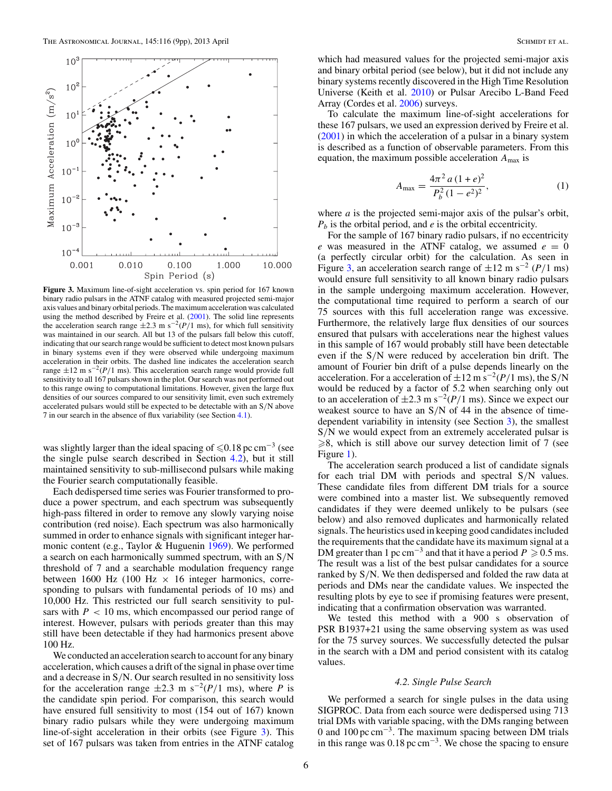<span id="page-6-0"></span>

**Figure 3.** Maximum line-of-sight acceleration vs. spin period for 167 known binary radio pulsars in the ATNF catalog with measured projected semi-major axis values and binary orbital periods. The maximum acceleration was calculated using the method described by Freire et al. [\(2001\)](#page-9-0). The solid line represents the acceleration search range  $\pm 2.3$  m s<sup>-2</sup>(*P*/1 ms), for which full sensitivity was maintained in our search. All but 13 of the pulsars fall below this cutoff, indicating that our search range would be sufficient to detect most known pulsars in binary systems even if they were observed while undergoing maximum acceleration in their orbits. The dashed line indicates the acceleration search range  $\pm 12$  m s<sup>-2</sup>(*P*/1 ms). This acceleration search range would provide full sensitivity to all 167 pulsars shown in the plot. Our search was not performed out to this range owing to computational limitations. However, given the large flux densities of our sources compared to our sensitivity limit, even such extremely accelerated pulsars would still be expected to be detectable with an S*/*N above 7 in our search in the absence of flux variability (see Section [4.1\)](#page-5-0).

was slightly larger than the ideal spacing of  $\leq 0.18$  pc cm<sup>-3</sup> (see the single pulse search described in Section 4.2), but it still maintained sensitivity to sub-millisecond pulsars while making the Fourier search computationally feasible.

Each dedispersed time series was Fourier transformed to produce a power spectrum, and each spectrum was subsequently high-pass filtered in order to remove any slowly varying noise contribution (red noise). Each spectrum was also harmonically summed in order to enhance signals with significant integer harmonic content (e.g., Taylor & Huguenin [1969\)](#page-9-0). We performed a search on each harmonically summed spectrum, with an S*/*N threshold of 7 and a searchable modulation frequency range between 1600 Hz (100 Hz  $\times$  16 integer harmonics, corresponding to pulsars with fundamental periods of 10 ms) and 10,000 Hz. This restricted our full search sensitivity to pulsars with  $P < 10$  ms, which encompassed our period range of interest. However, pulsars with periods greater than this may still have been detectable if they had harmonics present above 100 Hz.

We conducted an acceleration search to account for any binary acceleration, which causes a drift of the signal in phase over time and a decrease in S*/*N. Our search resulted in no sensitivity loss for the acceleration range  $\pm 2.3$  m s<sup>-2</sup>(*P*/1 ms), where *P* is the candidate spin period. For comparison, this search would have ensured full sensitivity to most (154 out of 167) known binary radio pulsars while they were undergoing maximum line-of-sight acceleration in their orbits (see Figure 3). This set of 167 pulsars was taken from entries in the ATNF catalog

which had measured values for the projected semi-major axis and binary orbital period (see below), but it did not include any binary systems recently discovered in the High Time Resolution Universe (Keith et al. [2010\)](#page-9-0) or Pulsar Arecibo L-Band Feed Array (Cordes et al. [2006\)](#page-8-0) surveys.

To calculate the maximum line-of-sight accelerations for these 167 pulsars, we used an expression derived by Freire et al. [\(2001\)](#page-9-0) in which the acceleration of a pulsar in a binary system is described as a function of observable parameters. From this equation, the maximum possible acceleration *A*max is

$$
A_{\max} = \frac{4\pi^2 a (1+e)^2}{P_b^2 (1-e^2)^2},
$$
 (1)

where *a* is the projected semi-major axis of the pulsar's orbit, *Pb* is the orbital period, and *e* is the orbital eccentricity.

For the sample of 167 binary radio pulsars, if no eccentricity  $e$  was measured in the ATNF catalog, we assumed  $e = 0$ (a perfectly circular orbit) for the calculation. As seen in Figure 3, an acceleration search range of  $\pm 12$  m s<sup>-2</sup> (*P*/1 ms) would ensure full sensitivity to all known binary radio pulsars in the sample undergoing maximum acceleration. However, the computational time required to perform a search of our 75 sources with this full acceleration range was excessive. Furthermore, the relatively large flux densities of our sources ensured that pulsars with accelerations near the highest values in this sample of 167 would probably still have been detectable even if the S*/*N were reduced by acceleration bin drift. The amount of Fourier bin drift of a pulse depends linearly on the acceleration. For a acceleration of  $\pm 12$  m s<sup>-2</sup>(*P*/1 ms), the S/N would be reduced by a factor of 5.2 when searching only out to an acceleration of  $\pm 2.3$  m s<sup>-2</sup>(*P*/1 ms). Since we expect our weakest source to have an S*/*N of 44 in the absence of timedependent variability in intensity (see Section [3\)](#page-5-0), the smallest S*/*N we would expect from an extremely accelerated pulsar is  $\ge 8$ , which is still above our survey detection limit of 7 (see Figure [1\)](#page-5-0).

The acceleration search produced a list of candidate signals for each trial DM with periods and spectral S*/*N values. These candidate files from different DM trials for a source were combined into a master list. We subsequently removed candidates if they were deemed unlikely to be pulsars (see below) and also removed duplicates and harmonically related signals. The heuristics used in keeping good candidates included the requirements that the candidate have its maximum signal at a DM greater than 1 pc cm<sup>-3</sup> and that it have a period  $P \ge 0.5$  ms. The result was a list of the best pulsar candidates for a source ranked by S*/*N. We then dedispersed and folded the raw data at periods and DMs near the candidate values. We inspected the resulting plots by eye to see if promising features were present, indicating that a confirmation observation was warranted.

We tested this method with a 900 s observation of PSR B1937+21 using the same observing system as was used for the 75 survey sources. We successfully detected the pulsar in the search with a DM and period consistent with its catalog values.

#### *4.2. Single Pulse Search*

We performed a search for single pulses in the data using SIGPROC. Data from each source were dedispersed using 713 trial DMs with variable spacing, with the DMs ranging between 0 and 100 pc cm−3. The maximum spacing between DM trials in this range was  $0.18 \,\mathrm{pc \, cm^{-3}}$ . We chose the spacing to ensure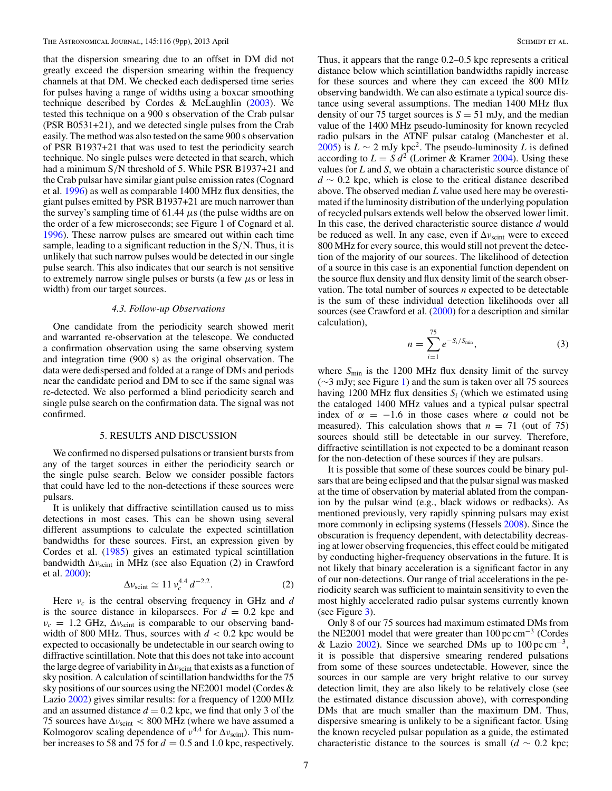<span id="page-7-0"></span>that the dispersion smearing due to an offset in DM did not greatly exceed the dispersion smearing within the frequency channels at that DM. We checked each dedispersed time series for pulses having a range of widths using a boxcar smoothing technique described by Cordes & McLaughlin [\(2003\)](#page-8-0). We tested this technique on a 900 s observation of the Crab pulsar (PSR B0531+21), and we detected single pulses from the Crab easily. The method was also tested on the same 900 s observation of PSR B1937+21 that was used to test the periodicity search technique. No single pulses were detected in that search, which had a minimum S*/*N threshold of 5. While PSR B1937+21 and the Crab pulsar have similar giant pulse emission rates (Cognard et al. [1996\)](#page-8-0) as well as comparable 1400 MHz flux densities, the giant pulses emitted by PSR B1937+21 are much narrower than the survey's sampling time of 61.44  $\mu$ s (the pulse widths are on the order of a few microseconds; see Figure 1 of Cognard et al. [1996\)](#page-8-0). These narrow pulses are smeared out within each time sample, leading to a significant reduction in the S*/*N. Thus, it is unlikely that such narrow pulses would be detected in our single pulse search. This also indicates that our search is not sensitive to extremely narrow single pulses or bursts (a few *μ*s or less in width) from our target sources.

## *4.3. Follow-up Observations*

One candidate from the periodicity search showed merit and warranted re-observation at the telescope. We conducted a confirmation observation using the same observing system and integration time (900 s) as the original observation. The data were dedispersed and folded at a range of DMs and periods near the candidate period and DM to see if the same signal was re-detected. We also performed a blind periodicity search and single pulse search on the confirmation data. The signal was not confirmed.

#### 5. RESULTS AND DISCUSSION

We confirmed no dispersed pulsations or transient bursts from any of the target sources in either the periodicity search or the single pulse search. Below we consider possible factors that could have led to the non-detections if these sources were pulsars.

It is unlikely that diffractive scintillation caused us to miss detections in most cases. This can be shown using several different assumptions to calculate the expected scintillation bandwidths for these sources. First, an expression given by Cordes et al. [\(1985\)](#page-8-0) gives an estimated typical scintillation bandwidth Δ*ν*scint in MHz (see also Equation (2) in Crawford et al. [2000\)](#page-9-0):

$$
\Delta v_{\rm scint} \simeq 11 v_c^{4.4} d^{-2.2}.
$$

Here *νc* is the central observing frequency in GHz and *d* is the source distance in kiloparsecs. For  $d = 0.2$  kpc and  $v_c = 1.2$  GHz,  $\Delta v_{\text{scint}}$  is comparable to our observing bandwidth of 800 MHz. Thus, sources with  $d < 0.2$  kpc would be expected to occasionally be undetectable in our search owing to diffractive scintillation. Note that this does not take into account the large degree of variability in  $\Delta v_{\text{scint}}$  that exists as a function of sky position. A calculation of scintillation bandwidths for the 75 sky positions of our sources using the NE2001 model (Cordes & Lazio [2002\)](#page-8-0) gives similar results: for a frequency of 1200 MHz and an assumed distance  $d = 0.2$  kpc, we find that only 3 of the 75 sources have  $\Delta v_{\text{scint}}$  < 800 MHz (where we have assumed a Kolmogorov scaling dependence of  $v^{4.4}$  for  $\Delta v_{\rm scint}$ ). This number increases to 58 and 75 for  $d = 0.5$  and 1.0 kpc, respectively.

Thus, it appears that the range 0.2–0.5 kpc represents a critical distance below which scintillation bandwidths rapidly increase for these sources and where they can exceed the 800 MHz observing bandwidth. We can also estimate a typical source distance using several assumptions. The median 1400 MHz flux density of our 75 target sources is  $S = 51$  mJy, and the median value of the 1400 MHz pseudo-luminosity for known recycled radio pulsars in the ATNF pulsar catalog (Manchester et al. [2005\)](#page-9-0) is  $L \sim 2$  mJy kpc<sup>2</sup>. The pseudo-luminosity *L* is defined according to  $L = S d^2$  (Lorimer & Kramer [2004\)](#page-9-0). Using these values for *L* and *S*, we obtain a characteristic source distance of *d* ∼ 0.2 kpc, which is close to the critical distance described above. The observed median *L* value used here may be overestimated if the luminosity distribution of the underlying population of recycled pulsars extends well below the observed lower limit. In this case, the derived characteristic source distance *d* would be reduced as well. In any case, even if Δ*ν*scint were to exceed 800 MHz for every source, this would still not prevent the detection of the majority of our sources. The likelihood of detection of a source in this case is an exponential function dependent on the source flux density and flux density limit of the search observation. The total number of sources *n* expected to be detectable is the sum of these individual detection likelihoods over all sources (see Crawford et al. [\(2000\)](#page-9-0) for a description and similar calculation),

$$
n = \sum_{i=1}^{75} e^{-S_i/S_{\min}},
$$
 (3)

where  $S_{\text{min}}$  is the 1200 MHz flux density limit of the survey (∼3 mJy; see Figure [1\)](#page-5-0) and the sum is taken over all 75 sources having 1200 MHz flux densities  $S_i$  (which we estimated using the cataloged 1400 MHz values and a typical pulsar spectral index of  $\alpha = -1.6$  in those cases where  $\alpha$  could not be measured). This calculation shows that  $n = 71$  (out of 75) sources should still be detectable in our survey. Therefore, diffractive scintillation is not expected to be a dominant reason for the non-detection of these sources if they are pulsars.

It is possible that some of these sources could be binary pulsars that are being eclipsed and that the pulsar signal was masked at the time of observation by material ablated from the companion by the pulsar wind (e.g., black widows or redbacks). As mentioned previously, very rapidly spinning pulsars may exist more commonly in eclipsing systems (Hessels [2008\)](#page-9-0). Since the obscuration is frequency dependent, with detectability decreasing at lower observing frequencies, this effect could be mitigated by conducting higher-frequency observations in the future. It is not likely that binary acceleration is a significant factor in any of our non-detections. Our range of trial accelerations in the periodicity search was sufficient to maintain sensitivity to even the most highly accelerated radio pulsar systems currently known (see Figure [3\)](#page-6-0).

Only 8 of our 75 sources had maximum estimated DMs from the NE2001 model that were greater than  $100 \,\text{pc cm}^{-3}$  (Cordes & Lazio [2002\)](#page-8-0). Since we searched DMs up to  $100 \,\text{pc cm}^{-3}$ , it is possible that dispersive smearing rendered pulsations from some of these sources undetectable. However, since the sources in our sample are very bright relative to our survey detection limit, they are also likely to be relatively close (see the estimated distance discussion above), with corresponding DMs that are much smaller than the maximum DM. Thus, dispersive smearing is unlikely to be a significant factor. Using the known recycled pulsar population as a guide, the estimated characteristic distance to the sources is small  $(d \sim 0.2 \text{ kpc})$ ;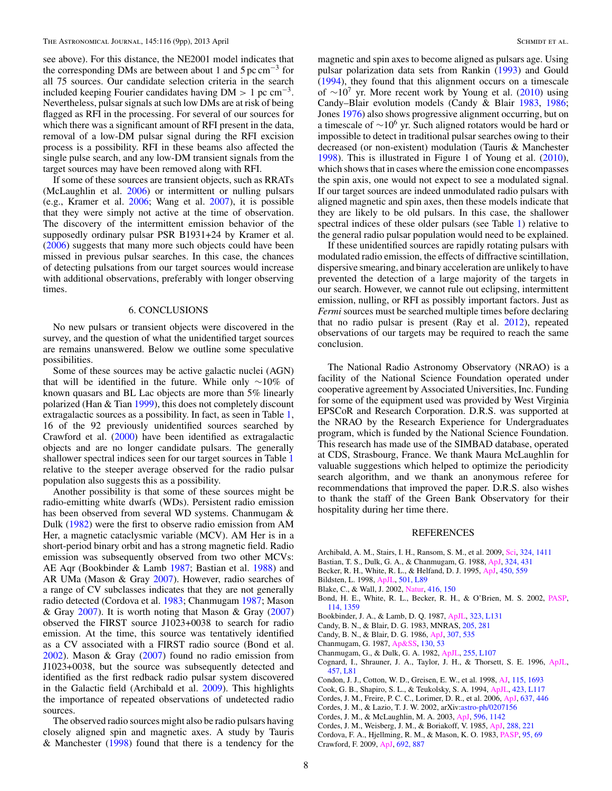<span id="page-8-0"></span>see above). For this distance, the NE2001 model indicates that the corresponding DMs are between about 1 and 5 pc  $cm^{-3}$  for all 75 sources. Our candidate selection criteria in the search included keeping Fourier candidates having  $DM > 1$  pc cm<sup>-3</sup>. Nevertheless, pulsar signals at such low DMs are at risk of being flagged as RFI in the processing. For several of our sources for which there was a significant amount of RFI present in the data, removal of a low-DM pulsar signal during the RFI excision process is a possibility. RFI in these beams also affected the single pulse search, and any low-DM transient signals from the target sources may have been removed along with RFI.

If some of these sources are transient objects, such as RRATs (McLaughlin et al. [2006\)](#page-9-0) or intermittent or nulling pulsars (e.g., Kramer et al. [2006;](#page-9-0) Wang et al. [2007\)](#page-9-0), it is possible that they were simply not active at the time of observation. The discovery of the intermittent emission behavior of the supposedly ordinary pulsar PSR B1931+24 by Kramer et al. [\(2006\)](#page-9-0) suggests that many more such objects could have been missed in previous pulsar searches. In this case, the chances of detecting pulsations from our target sources would increase with additional observations, preferably with longer observing times.

## 6. CONCLUSIONS

No new pulsars or transient objects were discovered in the survey, and the question of what the unidentified target sources are remains unanswered. Below we outline some speculative possibilities.

Some of these sources may be active galactic nuclei (AGN) that will be identified in the future. While only ∼10% of known quasars and BL Lac objects are more than 5% linearly polarized (Han & Tian [1999\)](#page-9-0), this does not completely discount extragalactic sources as a possibility. In fact, as seen in Table [1,](#page-3-0) 16 of the 92 previously unidentified sources searched by Crawford et al. [\(2000\)](#page-9-0) have been identified as extragalactic objects and are no longer candidate pulsars. The generally shallower spectral indices seen for our target sources in Table [1](#page-3-0) relative to the steeper average observed for the radio pulsar population also suggests this as a possibility.

Another possibility is that some of these sources might be radio-emitting white dwarfs (WDs). Persistent radio emission has been observed from several WD systems. Chanmugam & Dulk (1982) were the first to observe radio emission from AM Her, a magnetic cataclysmic variable (MCV). AM Her is in a short-period binary orbit and has a strong magnetic field. Radio emission was subsequently observed from two other MCVs: AE Aqr (Bookbinder & Lamb 1987; Bastian et al. 1988) and AR UMa (Mason & Gray [2007\)](#page-9-0). However, radio searches of a range of CV subclasses indicates that they are not generally radio detected (Cordova et al. 1983; Chanmugam 1987; Mason & Gray [2007\)](#page-9-0). It is worth noting that Mason & Gray  $(2007)$ observed the FIRST source J1023+0038 to search for radio emission. At the time, this source was tentatively identified as a CV associated with a FIRST radio source (Bond et al. 2002). Mason & Gray [\(2007\)](#page-9-0) found no radio emission from J1023+0038, but the source was subsequently detected and identified as the first redback radio pulsar system discovered in the Galactic field (Archibald et al. 2009). This highlights the importance of repeated observations of undetected radio sources.

The observed radio sources might also be radio pulsars having closely aligned spin and magnetic axes. A study by Tauris & Manchester [\(1998\)](#page-9-0) found that there is a tendency for the

magnetic and spin axes to become aligned as pulsars age. Using pulsar polarization data sets from Rankin [\(1993\)](#page-9-0) and Gould [\(1994\)](#page-9-0), they found that this alignment occurs on a timescale of  $\sim 10^7$  yr. More recent work by Young et al. [\(2010\)](#page-9-0) using Candy–Blair evolution models (Candy & Blair 1983, 1986; Jones [1976\)](#page-9-0) also shows progressive alignment occurring, but on a timescale of  $\sim$ 10<sup>6</sup> yr. Such aligned rotators would be hard or impossible to detect in traditional pulsar searches owing to their decreased (or non-existent) modulation (Tauris & Manchester [1998\)](#page-9-0). This is illustrated in Figure 1 of Young et al. [\(2010\)](#page-9-0), which shows that in cases where the emission cone encompasses the spin axis, one would not expect to see a modulated signal. If our target sources are indeed unmodulated radio pulsars with aligned magnetic and spin axes, then these models indicate that they are likely to be old pulsars. In this case, the shallower spectral indices of these older pulsars (see Table [1\)](#page-3-0) relative to the general radio pulsar population would need to be explained.

If these unidentified sources are rapidly rotating pulsars with modulated radio emission, the effects of diffractive scintillation, dispersive smearing, and binary acceleration are unlikely to have prevented the detection of a large majority of the targets in our search. However, we cannot rule out eclipsing, intermittent emission, nulling, or RFI as possibly important factors. Just as *Fermi* sources must be searched multiple times before declaring that no radio pulsar is present (Ray et al. [2012\)](#page-9-0), repeated observations of our targets may be required to reach the same conclusion.

The National Radio Astronomy Observatory (NRAO) is a facility of the National Science Foundation operated under cooperative agreement by Associated Universities, Inc. Funding for some of the equipment used was provided by West Virginia EPSCoR and Research Corporation. D.R.S. was supported at the NRAO by the Research Experience for Undergraduates program, which is funded by the National Science Foundation. This research has made use of the SIMBAD database, operated at CDS, Strasbourg, France. We thank Maura McLaughlin for valuable suggestions which helped to optimize the periodicity search algorithm, and we thank an anonymous referee for recommendations that improved the paper. D.R.S. also wishes to thank the staff of the Green Bank Observatory for their hospitality during her time there.

## REFERENCES

- Archibald, A. M., Stairs, I. H., Ransom, S. M., et al. 2009, [Sci,](http://dx.doi.org/10.1126/science.1172740) [324, 1411](http://adsabs.harvard.edu/abs/2009Sci...324.1411A)
- Bastian, T. S., Dulk, G. A., & Chanmugam, G. 1988, [ApJ,](http://dx.doi.org/10.1086/165906) [324, 431](http://adsabs.harvard.edu/abs/1988ApJ...324..431B)
- Becker, R. H., White, R. L., & Helfand, D. J. 1995, [ApJ,](http://dx.doi.org/10.1086/176166) [450, 559](http://adsabs.harvard.edu/abs/1995ApJ...450..559B)
- Bildsten, L. 1998, [ApJL,](http://dx.doi.org/10.1086/311440) [501, L89](http://adsabs.harvard.edu/abs/1998ApJ...501L..89B)
- Blake, C., & Wall, J. 2002, [Natur,](http://dx.doi.org/10.1038/416150a) [416, 150](http://adsabs.harvard.edu/abs/2002Natur.416..150B)
- Bond, H. E., White, R. L., Becker, R. H., & O'Brien, M. S. 2002, [PASP,](http://dx.doi.org/10.1086/344381) [114, 1359](http://adsabs.harvard.edu/abs/2002PASP..114.1359B)
- Bookbinder, J. A., & Lamb, D. Q. 1987, [ApJL,](http://dx.doi.org/10.1086/185072) [323, L131](http://adsabs.harvard.edu/abs/1987ApJ...323L.131B)
- Candy, B. N., & Blair, D. G. 1983, MNRAS, [205, 281](http://adsabs.harvard.edu/abs/1983MNRAS.205..281C)
- Candy, B. N., & Blair, D. G. 1986, [ApJ,](http://dx.doi.org/10.1086/164441) [307, 535](http://adsabs.harvard.edu/abs/1986ApJ...307..535C)
- Chanmugam, G. 1987, [Ap&SS,](http://dx.doi.org/10.1007/BF00654972) [130, 53](http://adsabs.harvard.edu/abs/1987Ap&SS.130...53C)
- Chanmugam, G., & Dulk, G. A. 1982, [ApJL,](http://dx.doi.org/10.1086/183779) [255, L107](http://adsabs.harvard.edu/abs/1982ApJ...255L.107C)
- Cognard, I., Shrauner, J. A., Taylor, J. H., & Thorsett, S. E. 1996, [ApJL,](http://dx.doi.org/10.1086/309894) [457, L81](http://adsabs.harvard.edu/abs/1996ApJ...457L..81C)
- Condon, J. J., Cotton, W. D., Greisen, E. W., et al. 1998, [AJ,](http://dx.doi.org/10.1086/300337) [115, 1693](http://adsabs.harvard.edu/abs/1998AJ....115.1693C)
- Cook, G. B., Shapiro, S. L., & Teukolsky, S. A. 1994, [ApJL,](http://dx.doi.org/10.1086/187250) [423, L117](http://adsabs.harvard.edu/abs/1994ApJ...423L.117C)
- Cordes, J. M., Freire, P. C. C., Lorimer, D. R., et al. 2006, [ApJ,](http://dx.doi.org/10.1086/498335) [637, 446](http://adsabs.harvard.edu/abs/2006ApJ...637..446C)
- Cordes, J. M., & Lazio, T. J. W. 2002, arXiv[:astro-ph/0207156](http://www.arxiv.org/abs/astro-ph/0207156)
- Cordes, J. M., & McLaughlin, M. A. 2003, [ApJ,](http://dx.doi.org/10.1086/378231) [596, 1142](http://adsabs.harvard.edu/abs/2003ApJ...596.1142C)
- Cordes, J. M., Weisberg, J. M., & Boriakoff, V. 1985, [ApJ,](http://dx.doi.org/10.1086/162784) [288, 221](http://adsabs.harvard.edu/abs/1985ApJ...288..221C)
- Cordova, F. A., Hjellming, R. M., & Mason, K. O. 1983, [PASP,](http://dx.doi.org/10.1086/131119) [95, 69](http://adsabs.harvard.edu/abs/1983PASP...95...69C) Crawford, F. 2009, [ApJ,](http://dx.doi.org/10.1088/0004-637X/692/1/887) [692, 887](http://adsabs.harvard.edu/abs/2009ApJ...692..887C)